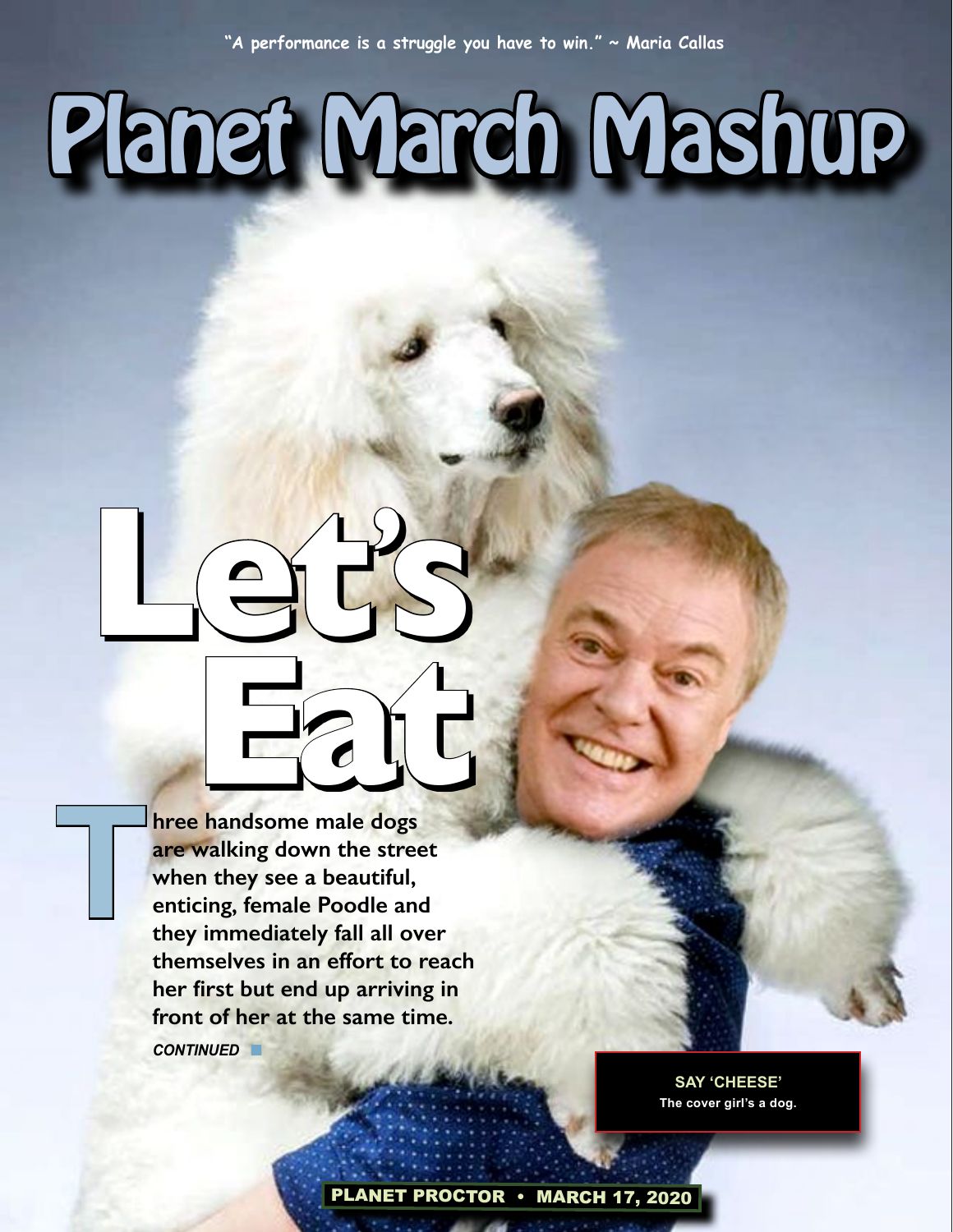# Planet March Mashup

**s** 

**Earthcar Contract Contract Contract Contract Contract Contract Contract Contract Contract Contract Contract Contract Contract Contract Contract Contract Contract Contract Contract Contract Contract Contract Contract Contr hree handsome male dogs are walking down the street when they see a beautiful, enticing, female Poodle and they immediately fall all over themselves in an effort to reach her first but end up arriving in front of her at the same time.**  *CONTINUED* n

**Let'**

**T**

**SAY 'CHEESE' The cover girl's a dog.**

PLANET PROCTOR • MARCH 17, 2020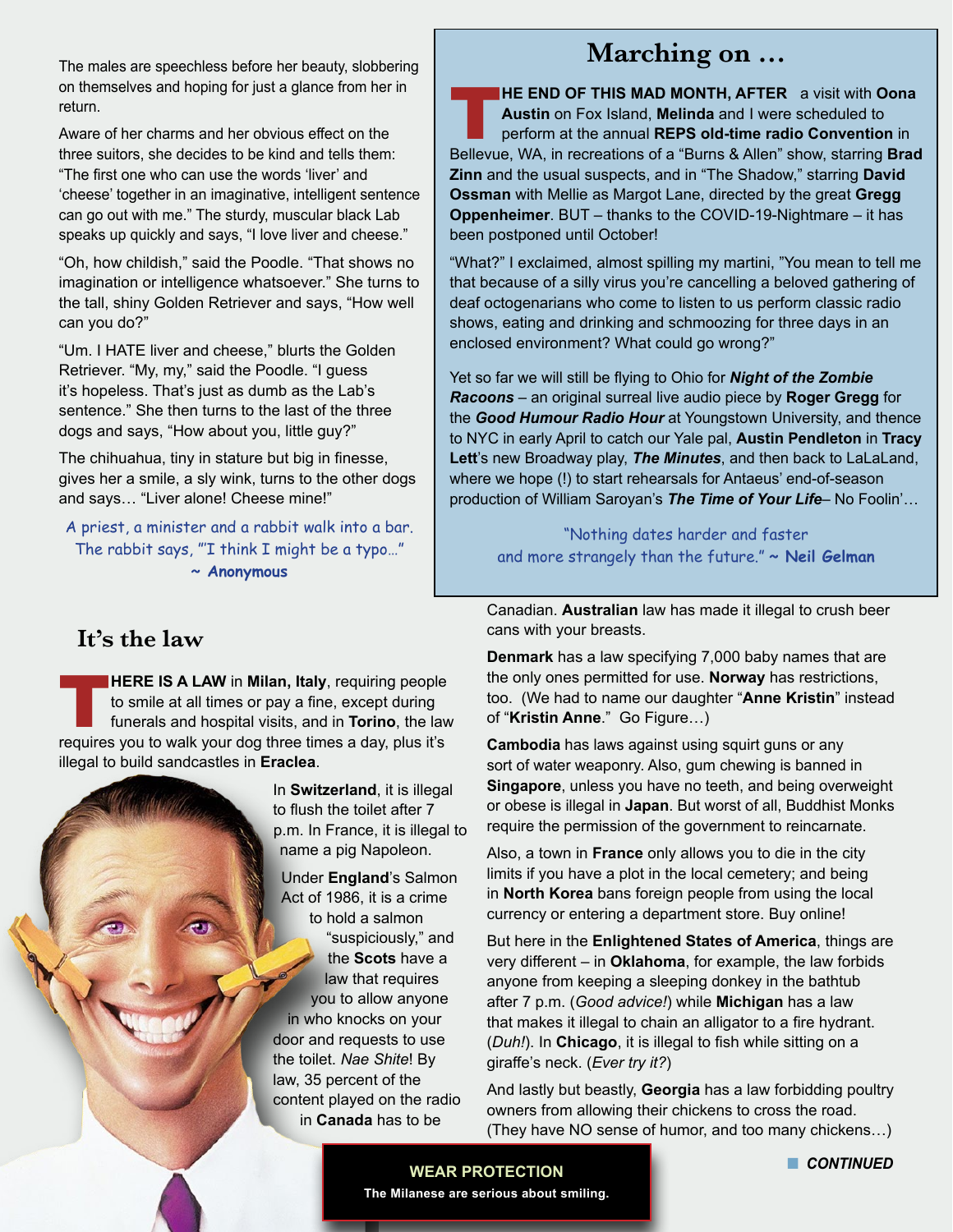The males are speechless before her beauty, slobbering on themselves and hoping for just a glance from her in return.

Aware of her charms and her obvious effect on the three suitors, she decides to be kind and tells them: "The first one who can use the words 'liver' and 'cheese' together in an imaginative, intelligent sentence can go out with me." The sturdy, muscular black Lab speaks up quickly and says, "I love liver and cheese."

"Oh, how childish," said the Poodle. "That shows no imagination or intelligence whatsoever." She turns to the tall, shiny Golden Retriever and says, "How well can you do?"

"Um. I HATE liver and cheese," blurts the Golden Retriever. "My, my," said the Poodle. "I guess it's hopeless. That's just as dumb as the Lab's sentence." She then turns to the last of the three dogs and says, "How about you, little guy?"

The chihuahua, tiny in stature but big in finesse, gives her a smile, a sly wink, turns to the other dogs and says… "Liver alone! Cheese mine!"

A priest, a minister and a rabbit walk into a bar. The rabbit says, "'I think I might be a typo…" **~ Anonymous**

# **Marching on …**

**HE END OF THIS MAD MONTH, AFTER** a visit with **Oona Austin** on Fox Island, **Melinda** and I were scheduled to perform at the annual **REPS old-time radio Convention** in Bellevue, WA, in recreations of a "Burns & Allen" show, starring **Brad Zinn** and the usual suspects, and in "The Shadow," starring **David Ossman** with Mellie as Margot Lane, directed by the great **Gregg Oppenheimer**. BUT – thanks to the COVID-19-Nightmare – it has been postponed until October!

"What?" I exclaimed, almost spilling my martini, "You mean to tell me that because of a silly virus you're cancelling a beloved gathering of deaf octogenarians who come to listen to us perform classic radio shows, eating and drinking and schmoozing for three days in an enclosed environment? What could go wrong?"

Yet so far we will still be flying to Ohio for *Night of the Zombie Racoons* – an original surreal live audio piece by **Roger Gregg** for the *Good Humour Radio Hour* at Youngstown University, and thence to NYC in early April to catch our Yale pal, **Austin Pendleton** in **Tracy Lett**'s new Broadway play, *The Minutes*, and then back to LaLaLand, where we hope (!) to start rehearsals for Antaeus' end-of-season production of William Saroyan's *The Time of Your Life*– No Foolin'…

"Nothing dates harder and faster and more strangely than the future." **~ Neil Gelman**

 **It's the law**

**THERE IS A LAW** in **Milan, Italy**, requiring people<br>to smile at all times or pay a fine, except during<br>funerals and hospital visits, and in **Torino**, the law to smile at all times or pay a fine, except during funerals and hospital visits, and in **Torino**, the law requires you to walk your dog three times a day, plus it's illegal to build sandcastles in **Eraclea**.

In **Switzerland**, it is illegal to flush the toilet after 7 p.m. In France, it is illegal to name a pig Napoleon. Under **England**'s Salmon

Act of 1986, it is a crime to hold a salmon "suspiciously," and the **Scots** have a law that requires you to allow anyone in who knocks on your door and requests to use the toilet. *Nae Shite*! By law, 35 percent of the content played on the radio in **Canada** has to be

Canadian. **Australian** law has made it illegal to crush beer cans with your breasts.

**Denmark** has a law specifying 7,000 baby names that are the only ones permitted for use. **Norway** has restrictions, too. (We had to name our daughter "**Anne Kristin**" instead of "**Kristin Anne**." Go Figure…)

**Cambodia** has laws against using squirt guns or any sort of water weaponry. Also, gum chewing is banned in **Singapore**, unless you have no teeth, and being overweight or obese is illegal in **Japan**. But worst of all, Buddhist Monks require the permission of the government to reincarnate.

Also, a town in **France** only allows you to die in the city limits if you have a plot in the local cemetery; and being in **North Korea** bans foreign people from using the local currency or entering a department store. Buy online!

But here in the **Enlightened States of America**, things are very different – in **Oklahoma**, for example, the law forbids anyone from keeping a sleeping donkey in the bathtub after 7 p.m. (*Good advice!*) while **Michigan** has a law that makes it illegal to chain an alligator to a fire hydrant. (*Duh!*). In **Chicago**, it is illegal to fish while sitting on a giraffe's neck. (*Ever try it?*)

And lastly but beastly, **Georgia** has a law forbidding poultry owners from allowing their chickens to cross the road. (They have NO sense of humor, and too many chickens…)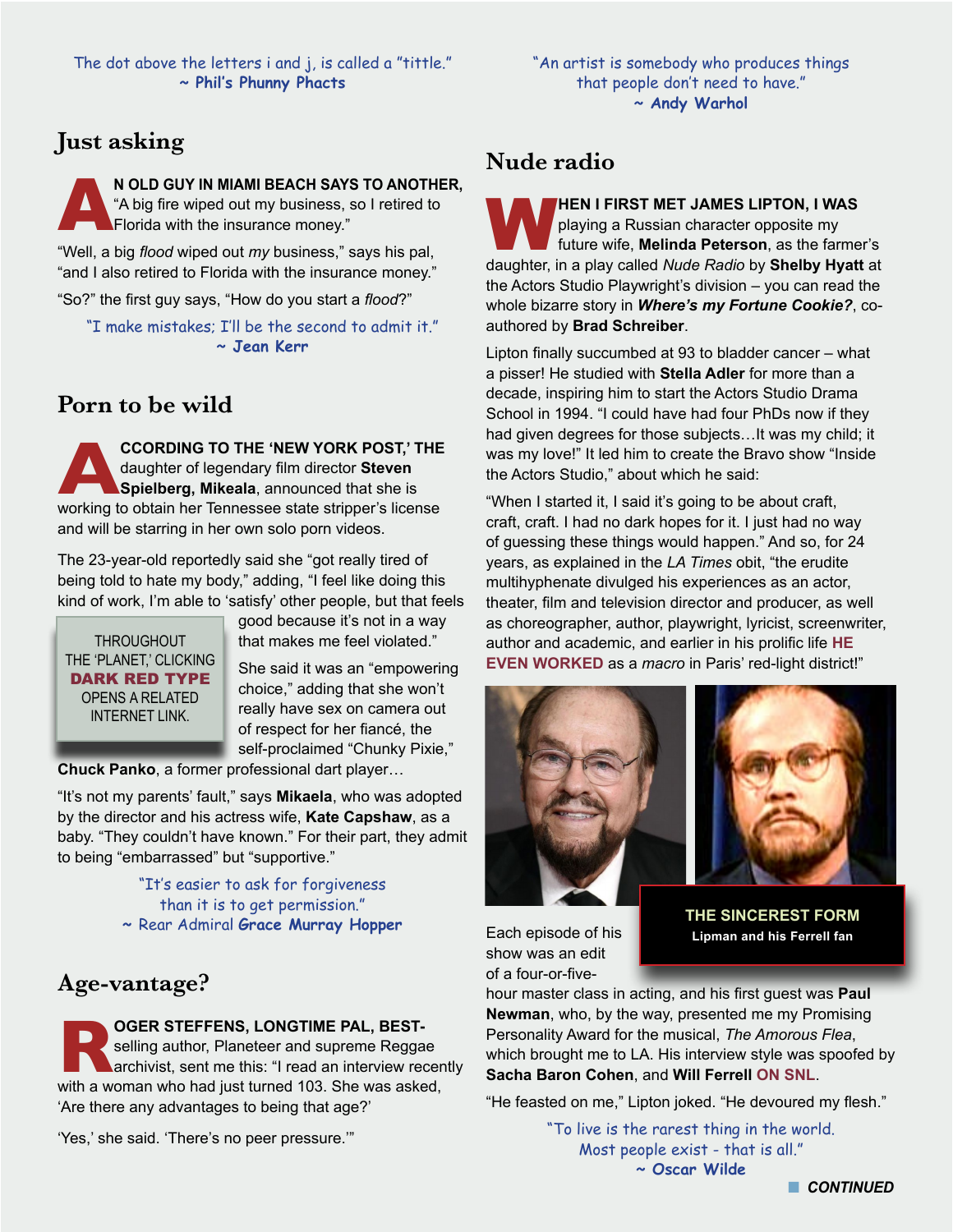#### **Just asking**

**N OLD GUY IN MIAMI BEACH SAYS TO ANOTHER,**<br>"A big fire wiped out my business, so I retired to<br>Florida with the insurance money." "A big fire wiped out my business, so I retired to Florida with the insurance money."

"Well, a big *flood* wiped out *my* business," says his pal, "and I also retired to Florida with the insurance money."

"So?" the first guy says, "How do you start a *flood*?"

"I make mistakes; I'll be the second to admit it." **~ Jean Kerr**

#### **Porn to be wild**

**ACCORDING TO THE 'NEW YORK POST,' THE**<br>daughter of legendary film director Steven<br>Spielberg, Mikeala, announced that she is<br>working to obtain her Tennessee state stripper's license daughter of legendary film director **Steven Spielberg, Mikeala**, announced that she is working to obtain her Tennessee state stripper's license and will be starring in her own solo porn videos.

The 23-year-old reportedly said she "got really tired of being told to hate my body," adding, "I feel like doing this kind of work, I'm able to 'satisfy' other people, but that feels

**THROUGHOUT** THE 'PLANET,' CLICKING DARK RED TYPE OPENS A RELATED INTERNET LINK.

good because it's not in a way that makes me feel violated."

She said it was an "empowering choice," adding that she won't really have sex on camera out of respect for her fiancé, the self-proclaimed "Chunky Pixie,"

**Chuck Panko**, a former professional dart player…

"It's not my parents' fault," says **Mikaela**, who was adopted by the director and his actress wife, **Kate Capshaw**, as a baby. "They couldn't have known." For their part, they admit to being "embarrassed" but "supportive."

> "It's easier to ask for forgiveness than it is to get permission." **~** Rear Admiral **Grace Murray Hopper**

#### **Age-vantage?**

**Rachara STEFFENS, LONGTIME PAL, BEST-**<br> **RACHAR SEINT SERVING A woman who had just turned 103. She was asked,** selling author, Planeteer and supreme Reggae archivist, sent me this: "I read an interview recently 'Are there any advantages to being that age?'

'Yes,' she said. 'There's no peer pressure.'"

#### **Nude radio**

W**HEN I FIRST MET JAMES LIPTON, I WAS**  playing a Russian character opposite my future wife, **Melinda Peterson**, as the farmer's daughter, in a play called *Nude Radio* by **Shelby Hyatt** at the Actors Studio Playwright's division – you can read the whole bizarre story in *Where's my Fortune Cookie?*, coauthored by **Brad Schreiber**.

Lipton finally succumbed at 93 to bladder cancer – what a pisser! He studied with **Stella Adler** for more than a decade, inspiring him to start the Actors Studio Drama School in 1994. "I could have had four PhDs now if they had given degrees for those subjects…It was my child; it was my love!" It led him to create the Bravo show "Inside the Actors Studio," about which he said:

"When I started it, I said it's going to be about craft, craft, craft. I had no dark hopes for it. I just had no way of guessing these things would happen." And so, for 24 years, as explained in the *LA Times* obit, "the erudite multihyphenate divulged his experiences as an actor, theater, film and television director and producer, as well as choreographer, author, playwright, lyricist, screenwriter, author and academic, and earlier in his prolific life **[HE](https://articles.latimes.com/2007/oct/22/entertainment/et-lipton20)  [EVEN WORKED](https://articles.latimes.com/2007/oct/22/entertainment/et-lipton20)** as a *macro* in Paris' red-light district!"





Each episode of his show was an edit of a four-or-five-

**THE SINCEREST FORM Lipman and his Ferrell fan**

hour master class in acting, and his first guest was **Paul Newman**, who, by the way, presented me my Promising Personality Award for the musical, *The Amorous Flea*, which brought me to LA. His interview style was spoofed by **Sacha Baron Cohen**, and **Will Ferrell [ON SNL](https://www.youtube.com/watch?v=xpZ02A9aUVQ&feature=emb_title)**.

"He feasted on me," Lipton joked. "He devoured my flesh."

"To live is the rarest thing in the world. Most people exist - that is all." **~ Oscar Wilde**